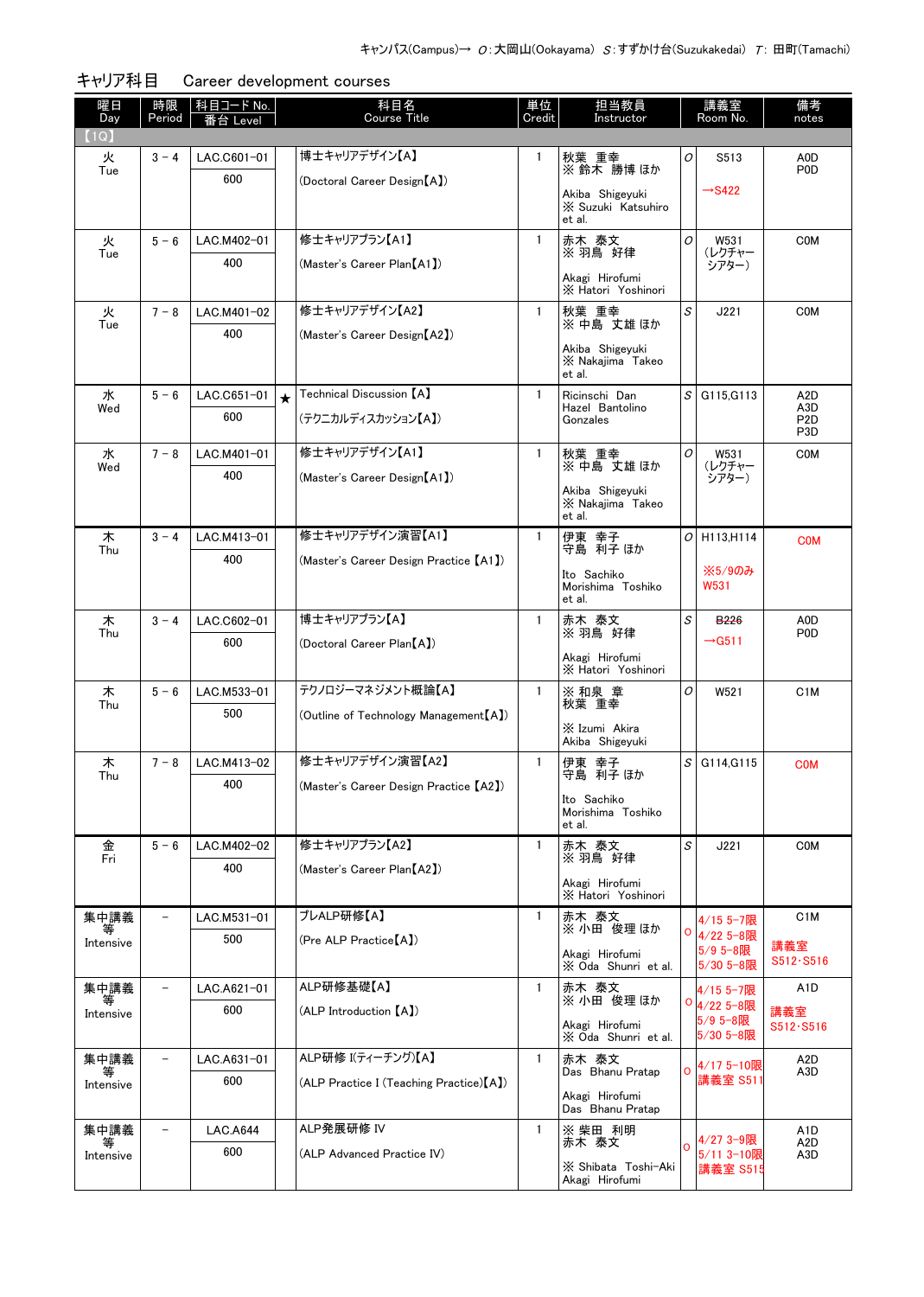| 曜日<br>Day      | 時限<br>Period             | 科目コード No.<br>番台 Level |                         | 科目名<br><b>Course Title</b>               | 単位<br>Credit | 担当教員<br>Instructor                    |                | 講義室<br>Room No.         | 備考<br>notes              |
|----------------|--------------------------|-----------------------|-------------------------|------------------------------------------|--------------|---------------------------------------|----------------|-------------------------|--------------------------|
| (1Q)           |                          |                       |                         |                                          |              |                                       |                |                         |                          |
| 火              | $3 - 4$                  | LAC.C601-01           |                         | 博士キャリアデザイン【A】                            | 1            | 秋葉 重幸                                 | 0              | S513                    | A0D                      |
| Tue            |                          | 600                   |                         | (Doctoral Career Design [A])             |              | ※鈴木 勝博ほか                              |                |                         | P <sub>0</sub>           |
|                |                          |                       |                         |                                          |              | Akiba Shigevuki<br>X Suzuki Katsuhiro |                | $\rightarrow$ S422      |                          |
|                |                          |                       |                         |                                          |              | et al.                                |                |                         |                          |
| 火<br>Tue       | $5 - 6$                  | LAC.M402-01           |                         | 修士キャリアプラン【A1】                            | $\mathbf{1}$ | 赤木 泰文<br>※ 羽鳥 好律                      | 0              | W531<br>(レクチャー          | <b>COM</b>               |
|                |                          | 400                   |                         | (Master's Career Plan [A1])              |              | Akagi Hirofumi                        |                | シアター)                   |                          |
|                |                          |                       |                         |                                          |              | X Hatori Yoshinori                    |                |                         |                          |
| 火<br>Tue       | $7 - 8$                  | LAC.M401-02           |                         | 修士キャリアデザイン【A2】                           | $\mathbf{1}$ | 秋葉 重幸<br>※中島 丈雄ほか                     | S              | J221                    | <b>COM</b>               |
|                |                          | 400                   |                         | (Master's Career Design (A2)             |              | Akiba Shigeyuki                       |                |                         |                          |
|                |                          |                       |                         |                                          |              | X Nakajima Takeo<br>et al.            |                |                         |                          |
| 水              | $5 - 6$                  | LAC.C651-01           | $\overline{\mathbf{r}}$ | Technical Discussion【A】                  | $\mathbf{1}$ | Ricinschi Dan                         | $\mathcal{S}$  | G115.G113               | A <sub>2</sub> D         |
| Wed            |                          | 600                   |                         | (テクニカルディスカッション【A】)                       |              | Hazel Bantolino<br>Gonzales           |                |                         | A3D<br>P <sub>2</sub> D  |
|                |                          |                       |                         |                                          |              |                                       |                |                         | P <sub>3</sub> D         |
| 水<br>Wed       | $7 - 8$                  | LAC.M401-01           |                         | 修士キャリアデザイン【A1】                           | $\mathbf{1}$ | 秋葉 重幸<br>※中島 丈雄ほか                     | 0              | W531<br>(レクチャー          | <b>COM</b>               |
|                |                          | 400                   |                         | (Master's Career Design [A1])            |              | Akiba Shigeyuki                       |                | シアター)                   |                          |
|                |                          |                       |                         |                                          |              | X Nakajima Takeo<br>et al.            |                |                         |                          |
| 木              | $3 - 4$                  | LAC.M413-01           |                         | 修士キャリアデザイン演習【A1】                         | $\mathbf{1}$ | 伊東 幸子<br>守島 利子 ほか                     |                | $O$ H113.H114           | <b>COM</b>               |
| Thu            |                          | 400                   |                         | (Master's Career Design Practice [A1])   |              |                                       |                |                         |                          |
|                |                          |                       |                         |                                          |              | Ito Sachiko<br>Morishima Toshiko      |                | ※5/9のみ<br><b>W531</b>   |                          |
|                |                          |                       |                         |                                          |              | et al.                                |                |                         |                          |
| 木<br>Thu       | $3 - 4$                  | LAC.C602-01           |                         | 博士キャリアプラン【A】                             | $\mathbf{1}$ | 赤木 泰文<br>※ 羽鳥 好律                      | S              | <b>B226</b>             | A0D<br>P <sub>0</sub>    |
|                |                          | 600                   |                         | (Doctoral Career Plan (A)                |              | Akagi Hirofumi                        |                | $\rightarrow$ G511      |                          |
|                |                          |                       |                         |                                          |              | X Hatori Yoshinori                    |                |                         |                          |
| 木<br>Thu       | $5 - 6$                  | LAC.M533-01           |                         | テクノロジーマネジメント概論【A】                        | $\mathbf{1}$ | ※ 和泉 章<br>秋葉 重幸                       | 0              | W521                    | C <sub>1</sub> M         |
|                |                          | 500                   |                         | (Outline of Technology Management [A])   |              | X Izumi Akira                         |                |                         |                          |
|                |                          |                       |                         |                                          |              | Akiba Shigeyuki                       |                |                         |                          |
| 木<br>Thu       | $7 - 8$                  | LAC.M413-02           |                         | 修士キャリアデザイン演習【A2】                         | 1            | 伊東 幸子<br>守島 利子 ほか                     | S              | G114, G115              | <b>COM</b>               |
|                |                          | 400                   |                         | (Master's Career Design Practice [A2])   |              | Ito Sachiko                           |                |                         |                          |
|                |                          |                       |                         |                                          |              | Morishima Toshiko<br>et al.           |                |                         |                          |
| 金              | $5 - 6$                  | LAC.M402-02           |                         | 修士キャリアプラン【A2】                            | 1            | 赤木 泰文                                 | S              | J221                    | <b>COM</b>               |
| Fri            |                          | 400                   |                         | (Master's Career Plan (A2)               |              | ※ 羽鳥 好律                               |                |                         |                          |
|                |                          |                       |                         |                                          |              | Akagi Hirofumi<br>X Hatori Yoshinori  |                |                         |                          |
| 集中講義           |                          | LAC.M531-01           |                         | プレALP研修【A】                               | 1            | 赤木 泰文                                 |                | 4/15 5-7限               | C <sub>1</sub> M         |
| Intensive      |                          | 500                   |                         | (Pre ALP Practice [A])                   |              | ※ 小田 俊理 ほか                            | o              | 4/22 5-8限<br>5/9 5-8限   | 講義室                      |
|                |                          |                       |                         |                                          |              | Akagi Hirofumi<br>X Oda Shunri et al. |                | 5/30 5-8限               | S512. S516               |
| 集中講義           | $\overline{\phantom{a}}$ | LAC.A621-01           |                         | ALP研修基礎【A】                               | $\mathbf{1}$ | 赤木 泰文                                 |                | 4/15 5-7限               | A1D                      |
| 等<br>Intensive |                          | 600                   |                         | (ALP Introduction [A])                   |              | ※ 小田 俊理 ほか                            |                | 0 4/22 5-8限<br>5/9 5-8限 | 講義室                      |
|                |                          |                       |                         |                                          |              | Akagi Hirofumi<br>X Oda Shunri et al. |                | 5/30 5-8限               | S512. S516               |
| 集中講義           |                          | LAC.A631-01           |                         | ALP研修 I(ティーチング)【A】                       | $\mathbf{1}$ | 赤木 泰文<br>Das Bhanu Pratap             | Ō              | 4/17 5-10限              | A <sub>2</sub> D<br>A3D. |
| 等<br>Intensive |                          | 600                   |                         | (ALP Practice I (Teaching Practice) [A]) |              |                                       |                | 講義室 S511                |                          |
|                |                          |                       |                         |                                          |              | Akagi Hirofumi<br>Das Bhanu Pratap    |                |                         |                          |
| 集中講義           |                          | <b>LAC.A644</b>       |                         | ALP発展研修 IV                               | $\mathbf{1}$ | ※ 柴田 利明                               |                | $4/27$ 3-9限             | A1D<br>A2D               |
| 等<br>Intensive |                          | 600                   |                         | (ALP Advanced Practice IV)               |              | 赤木 泰文                                 | $\overline{O}$ | 5/11 3-10限              | A3D                      |
|                |                          |                       |                         |                                          |              | X Shibata Toshi-Aki<br>Akagi Hirofumi |                | 講義室 S515                |                          |

キャリア科目 Career development courses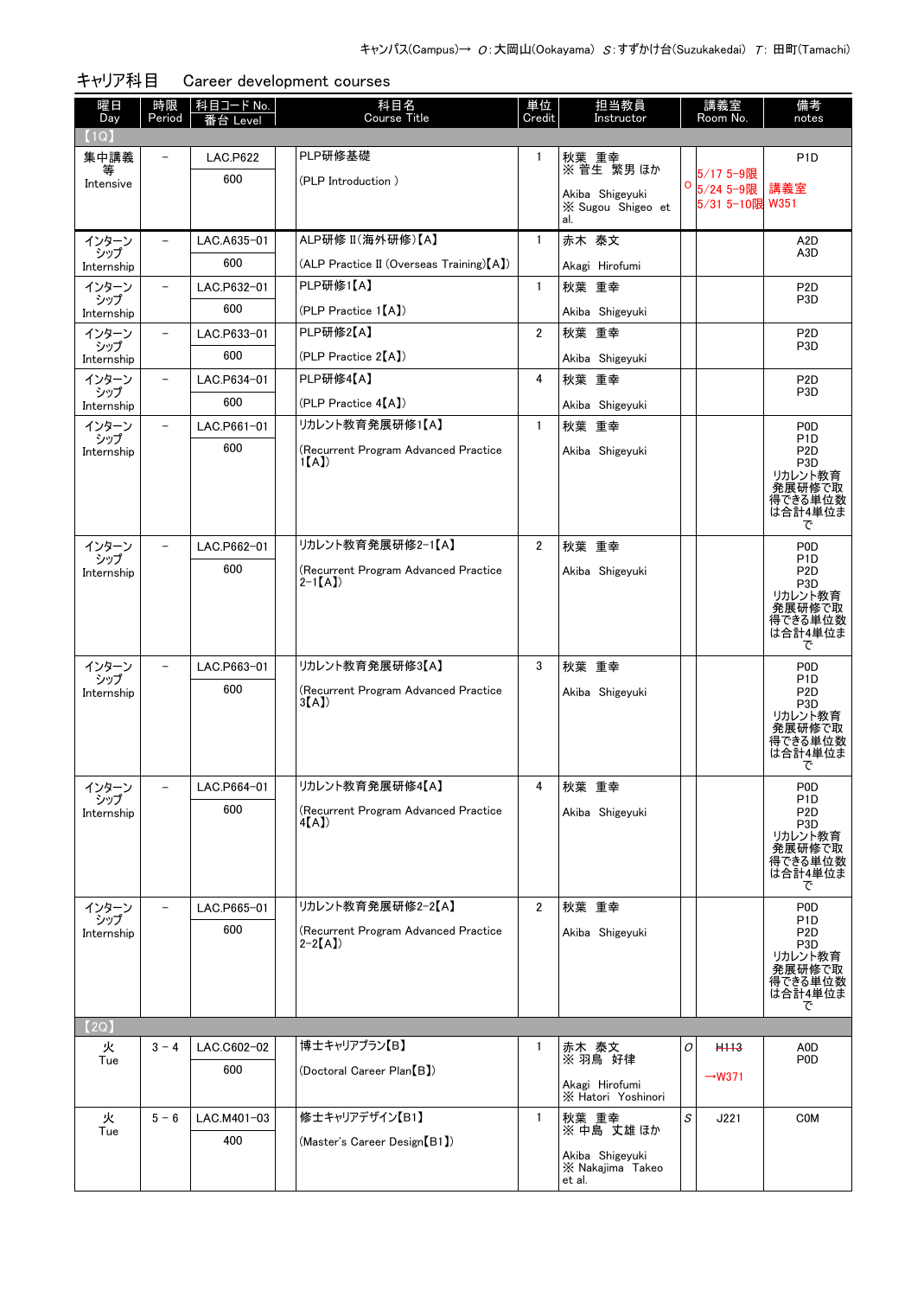| 曜日<br>Day           | 時限<br>Period             | 科目コード No.<br>番台 Level | 科目名<br>Course Title                              | 単位<br>Credit   | 担当教員<br>Instructor                   |   | 講義室<br>Room No.        | 備考<br>notes                          |
|---------------------|--------------------------|-----------------------|--------------------------------------------------|----------------|--------------------------------------|---|------------------------|--------------------------------------|
| (1Q)                |                          |                       |                                                  |                |                                      |   |                        |                                      |
| 集中講義                | $\overline{\phantom{0}}$ | <b>LAC.P622</b>       | PLP研修基礎                                          | $\mathbf{1}$   | 秋葉 重幸                                |   |                        | P <sub>1</sub> D                     |
| 等<br>Intensive      |                          | 600                   | (PLP Introduction)                               |                | ※菅生 繁男ほか                             | 0 | 5/17 5-9限<br>5/24 5-9限 | 講義室                                  |
|                     |                          |                       |                                                  |                | Akiba Shigeyuki<br>X Sugou Shigeo et |   | 5/31 5-10限 W351        |                                      |
| インターン               | $\overline{\phantom{0}}$ | LAC.A635-01           | ALP研修 II(海外研修)【A】                                | $\mathbf{1}$   | al.<br>赤木 泰文                         |   |                        | A <sub>2</sub> D                     |
| シップ                 |                          | 600                   | (ALP Practice II (Overseas Training) [A])        |                | Akagi Hirofumi                       |   |                        | A <sub>3</sub> D                     |
| Internship<br>インターン | $\overline{\phantom{0}}$ | LAC.P632-01           | PLP研修1【A】                                        | $\mathbf{1}$   | 秋葉 重幸                                |   |                        | P <sub>2</sub> D                     |
| シップ                 |                          | 600                   | (PLP Practice 1[A])                              |                | Akiba Shigeyuki                      |   |                        | P <sub>3</sub> D                     |
| Internship<br>インターン |                          | LAC.P633-01           | PLP研修2【A】                                        | $\overline{2}$ | 秋葉 重幸                                |   |                        | P <sub>2</sub> D                     |
| シップ<br>Internship   |                          | 600                   | (PLP Practice 2 <sup>[A]</sup> )                 |                | Akiba Shigeyuki                      |   |                        | P <sub>3</sub> D                     |
| インターン               | $\overline{\phantom{0}}$ | LAC.P634-01           | PLP研修4【A】                                        | 4              | 秋葉 重幸                                |   |                        | P <sub>2</sub> D                     |
| シップ                 |                          | 600                   | (PLP Practice 4[A])                              |                | Akiba Shigeyuki                      |   |                        | P <sub>3</sub> D                     |
| Internship<br>インターン |                          | LAC.P661-01           | リカレント教育発展研修1【A】                                  | $\mathbf{1}$   | 秋葉 重幸                                |   |                        | P <sub>0</sub>                       |
| シップ                 |                          | 600                   | (Recurrent Program Advanced Practice             |                |                                      |   |                        | P <sub>1</sub> D                     |
| Internship          |                          |                       | 1(A)                                             |                | Akiba Shigeyuki                      |   |                        | P <sub>2</sub> D<br>P <sub>3</sub> D |
|                     |                          |                       |                                                  |                |                                      |   |                        | リカレント教育<br>発展研修で取                    |
|                     |                          |                       |                                                  |                |                                      |   |                        | 得できる単位数<br>は合計4単位ま                   |
|                     |                          |                       |                                                  |                |                                      |   |                        | で                                    |
| インターン<br>シップ        | $\equiv$                 | LAC.P662-01           | リカレント教育発展研修2-1【A】                                | $\overline{2}$ | 秋葉 重幸                                |   |                        | P <sub>0</sub><br>P <sub>1</sub> D   |
| Internship          |                          | 600                   | (Recurrent Program Advanced Practice<br>$2-1[A]$ |                | Akiba Shigeyuki                      |   |                        | P <sub>2</sub> D<br>P <sub>3</sub> D |
|                     |                          |                       |                                                  |                |                                      |   |                        | リカレント教育<br>発展研修で取                    |
|                     |                          |                       |                                                  |                |                                      |   |                        | 得できる単位数                              |
|                     |                          |                       |                                                  |                |                                      |   |                        | は合計4単位ま<br>で                         |
| インターン               |                          | LAC.P663-01           | リカレント教育発展研修3【A】                                  | 3              | 秋葉 重幸                                |   |                        | P <sub>0</sub>                       |
| シップ<br>Internship   |                          | 600                   | (Recurrent Program Advanced Practice             |                | Akiba Shigeyuki                      |   |                        | P <sub>1</sub> D<br>P <sub>2</sub> D |
|                     |                          |                       | 3(A)                                             |                |                                      |   |                        | P <sub>3</sub> D<br>リカレント教育          |
|                     |                          |                       |                                                  |                |                                      |   |                        | 発展研修で取<br>得できる単位数                    |
|                     |                          |                       |                                                  |                |                                      |   |                        | は合計4単位ま<br>で                         |
| インターン               |                          | LAC.P664-01           | リカレント教育発展研修4【A】                                  | $\overline{4}$ | 秋葉 重幸                                |   |                        | P <sub>0</sub>                       |
| シップ<br>Internship   |                          | 600                   | (Recurrent Program Advanced Practice             |                | Akiba Shigeyuki                      |   |                        | P <sub>1</sub> D<br>P <sub>2</sub> D |
|                     |                          |                       | 4(A)                                             |                |                                      |   |                        | P <sub>3</sub> D<br>リカレント教育          |
|                     |                          |                       |                                                  |                |                                      |   |                        | 発展研修で取<br>得できる単位数                    |
|                     |                          |                       |                                                  |                |                                      |   |                        | は合計4単位ま<br>で                         |
| インターン               |                          | LAC.P665-01           | リカレント教育発展研修2-2【A】                                | $\overline{2}$ | 秋葉 重幸                                |   |                        | P <sub>0</sub>                       |
| シップ<br>Internship   |                          | 600                   | (Recurrent Program Advanced Practice             |                | Akiba Shigeyuki                      |   |                        | P <sub>1</sub> D<br>P <sub>2</sub> D |
|                     |                          |                       | $2-2[A]$                                         |                |                                      |   |                        | P <sub>3</sub> D                     |
|                     |                          |                       |                                                  |                |                                      |   |                        | リカレント教育<br>発展研修で取                    |
|                     |                          |                       |                                                  |                |                                      |   |                        | 得できる単位数<br>は合計4単位ま                   |
| 【2Q】                |                          |                       |                                                  |                |                                      |   |                        | で                                    |
| 火                   | $3 - 4$                  | LAC.C602-02           | 博士キャリアプラン【B】                                     | 1              | 赤木 泰文                                | 0 | H <sub>113</sub>       | A0D                                  |
| Tue                 |                          | 600                   | (Doctoral Career Plan [B])                       |                | ※ 羽鳥 好律                              |   |                        | P <sub>0</sub>                       |
|                     |                          |                       |                                                  |                | Akagi Hirofumi                       |   | $\rightarrow$ W371     |                                      |
| 火                   | $5 - 6$                  | LAC.M401-03           | 修士キャリアデザイン【B1】                                   | $\mathbf{1}$   | X Hatori Yoshinori<br>秋葉 重幸          | S | J221                   | <b>COM</b>                           |
| Tue                 |                          | 400                   |                                                  |                | ※中島 丈雄ほか                             |   |                        |                                      |
|                     |                          |                       | (Master's Career Design [B1])                    |                | Akiba Shigeyuki                      |   |                        |                                      |
|                     |                          |                       |                                                  |                | X Nakajima Takeo<br>et al.           |   |                        |                                      |

キャリア科目 Career development courses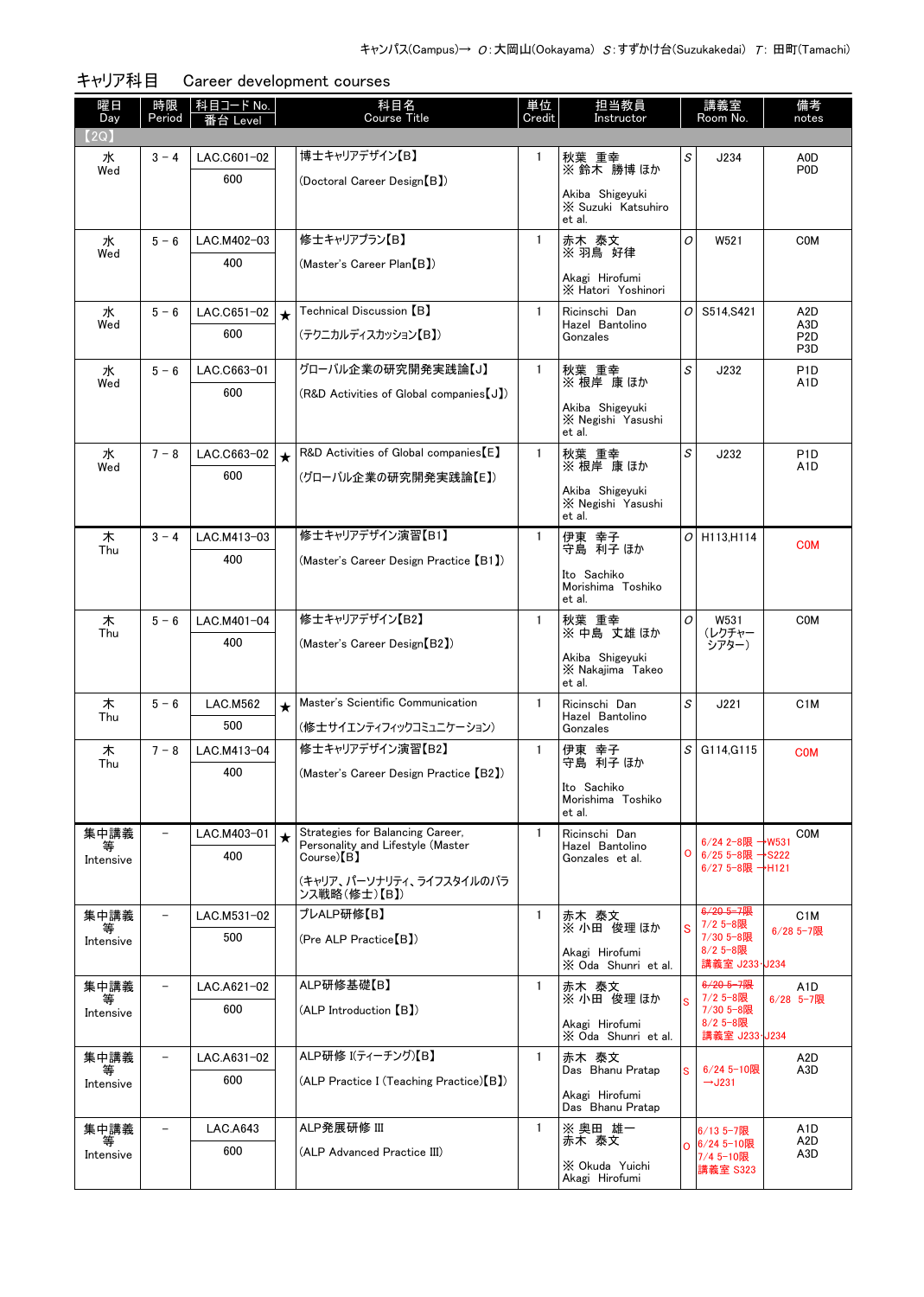| 曜日<br>Day | 時限<br>Period             | │科目コード No.<br>番台 Level |            | 科目名<br>Course Title                                                   | 単位<br>Credit | 担当教員<br>Instructor                              |   | 講義室<br>Room No.                    | 備考<br>notes                          |
|-----------|--------------------------|------------------------|------------|-----------------------------------------------------------------------|--------------|-------------------------------------------------|---|------------------------------------|--------------------------------------|
| 【2Q】      |                          |                        |            |                                                                       |              |                                                 |   |                                    |                                      |
| 水         | $3 - 4$                  | LAC.C601-02            |            | 博士キャリアデザイン【B】                                                         | 1            | 秋葉 重幸                                           | S | J234                               | A0D                                  |
| Wed       |                          | 600                    |            | (Doctoral Career Design【B】)                                           |              | ※鈴木 勝博ほか                                        |   |                                    | P <sub>0</sub>                       |
|           |                          |                        |            |                                                                       |              | Akiba Shigevuki<br>X Suzuki Katsuhiro<br>et al. |   |                                    |                                      |
| 水         | $5 - 6$                  | LAC.M402-03            |            | 修士キャリアプラン【B】                                                          | $\mathbf{1}$ | 赤木 泰文                                           | O | W521                               | <b>COM</b>                           |
| Wed       |                          | 400                    |            | (Master's Career Plan [B])                                            |              | ※ 羽鳥 好律                                         |   |                                    |                                      |
|           |                          |                        |            |                                                                       |              | Akagi Hirofumi<br>X Hatori Yoshinori            |   |                                    |                                      |
| 水         | $5 - 6$                  | LAC.C651-02            | $\bigstar$ | Technical Discussion $\textsf{\small{[B]}}$                           | $\mathbf{1}$ | Ricinschi Dan<br>Hazel Bantolino                | 0 | S514, S421                         | A <sub>2</sub> D<br>A3D              |
| Wed       |                          | 600                    |            | (テクニカルディスカッション【B】)                                                    |              | Gonzales                                        |   |                                    | P <sub>2</sub> D<br>P <sub>3</sub> D |
| 水         | $5 - 6$                  | LAC.C663-01            |            | グローバル企業の研究開発実践論【J】                                                    | $\mathbf{1}$ | 秋葉 重幸                                           | S | J232                               | P <sub>1</sub> D                     |
| Wed       |                          | 600                    |            | (R&D Activities of Global companies [J])                              |              | ※ 根岸 康 ほか                                       |   |                                    | A1D                                  |
|           |                          |                        |            |                                                                       |              | Akiba Shigeyuki<br>X Negishi Yasushi<br>et al.  |   |                                    |                                      |
| 水         | $7 - 8$                  | LAC.C663-02            | $\star$    | R&D Activities of Global companies [E]                                | $\mathbf{1}$ | 秋葉 重幸<br>※ 根岸 康 ほか                              | S | J232                               | P <sub>1</sub> D                     |
| Wed       |                          | 600                    |            | (グローバル企業の研究開発実践論【E】)                                                  |              |                                                 |   |                                    | A1D                                  |
|           |                          |                        |            |                                                                       |              | Akiba Shigeyuki<br>X Negishi Yasushi<br>et al.  |   |                                    |                                      |
| 木<br>Thu  | $3 - 4$                  | LAC.M413-03            |            | 修士キャリアデザイン演習【B1】                                                      | $\mathbf{1}$ | 伊東 幸子<br>守島 利子 ほか                               |   | $O$ H113.H114                      | <b>COM</b>                           |
|           |                          | 400                    |            | (Master's Career Design Practice [B1])                                |              | Ito Sachiko                                     |   |                                    |                                      |
|           |                          |                        |            |                                                                       |              | Morishima Toshiko<br>et al.                     |   |                                    |                                      |
| 木         | $5 - 6$                  | LAC.M401-04            |            | 修士キャリアデザイン【B2】                                                        | $\mathbf{1}$ | 秋葉 重幸                                           | 0 | W531                               | <b>COM</b>                           |
| Thu       |                          | 400                    |            | (Master's Career Design [B2])                                         |              | ※ 中島 丈雄ほか                                       |   | (レクチャー<br>シアター)                    |                                      |
|           |                          |                        |            |                                                                       |              | Akiba Shigeyuki<br>X Nakajima Takeo             |   |                                    |                                      |
|           |                          |                        |            |                                                                       |              | et al.                                          |   |                                    |                                      |
| 木<br>Thu  | $5 - 6$                  | <b>LAC.M562</b><br>500 | $\bigstar$ | Master's Scientific Communication                                     | $\mathbf{1}$ | Ricinschi Dan<br>Hazel Bantolino                | S | J221                               | C <sub>1</sub> M                     |
| 木         | $7 - 8$                  | LAC.M413-04            |            | (修士サイエンティフィックコミュニケーション)<br>修士キャリアデザイン演習【B2】                           | $\mathbf{1}$ | Gonzales<br>伊東 幸子                               | s | G114, G115                         |                                      |
| Thu       |                          | 400                    |            | (Master's Career Design Practice【B2】)                                 |              | 守島 利子 ほか                                        |   |                                    | <b>COM</b>                           |
|           |                          |                        |            |                                                                       |              | Ito Sachiko<br>Morishima Toshiko                |   |                                    |                                      |
|           |                          |                        |            |                                                                       |              | et al.                                          |   |                                    |                                      |
| 集中講義      |                          | LAC.M403-01            | $\bigstar$ | Strategies for Balancing Career,<br>Personality and Lifestyle (Master | $\mathbf{1}$ | Ricinschi Dan<br>Hazel Bantolino                |   | 6/24 2-8限 →W531                    | <b>COM</b>                           |
| Intensive |                          | 400                    |            | Course) <sup>[B]</sup>                                                |              | Gonzales et al.                                 | o | 6/25 5-8限 →S222<br>6/27 5-8限 →H121 |                                      |
|           |                          |                        |            | (キャリア、パーソナリティ、ライフスタイルのバラ<br>ンス戦略(修士)【B】)                              |              |                                                 |   |                                    |                                      |
| 集中講義      | $\overline{\phantom{0}}$ | LAC.M531-02            |            | プレALP研修【B】                                                            | $\mathbf{1}$ | 赤木 泰文<br>※ 小田 俊理 ほか                             |   | $6/20$ 5-7限<br>7/2 5-8限            | C <sub>1</sub> M                     |
| Intensive |                          | 500                    |            | (Pre ALP Practice[B])                                                 |              | Akagi Hirofumi                                  |   | 7/30 5-8限<br>8/2 5-8限              | $6/28$ 5-7限                          |
|           |                          |                        |            |                                                                       |              | X Oda Shunri et al.                             |   | 講義室 J233·J234                      |                                      |
| 集中講義<br>等 | $\overline{\phantom{a}}$ | LAC.A621-02            |            | ALP研修基礎【B】                                                            | 1            | 赤木 泰文<br>※ 小田 俊理 ほか                             |   | $6/20$ 5-7限<br>7/2 5-8限            | A1D<br>$6/28$ 5-7限                   |
| Intensive |                          | 600                    |            | (ALP Introduction [B])                                                |              | Akagi Hirofumi                                  |   | 7/30 5-8限<br>8/2 5-8限              |                                      |
|           |                          |                        |            |                                                                       |              | X Oda Shunri et al.                             |   | 講義室 J233·J234                      |                                      |
| 集中講義<br>等 |                          | LAC.A631-02            |            | ALP研修 I(ティーチング)【B】                                                    | $\mathbf{1}$ | 赤木 泰文<br>Das Bhanu Pratap                       |   | $6/24$ 5-10限                       | A2D<br>A <sub>3</sub> D              |
| Intensive |                          | 600                    |            | (ALP Practice I (Teaching Practice) [B])                              |              | Akagi Hirofumi                                  |   | $\rightarrow$ J231                 |                                      |
|           |                          |                        |            |                                                                       |              | Das Bhanu Pratap                                |   |                                    |                                      |
| 集中講義      | $\overline{\phantom{0}}$ | LAC.A643               |            | ALP発展研修 III                                                           | $\mathbf{1}$ | ※ 奥田 雄一<br>赤木 泰文                                |   | 6/13 5-7限<br>○ 6/24 5-10限          | A <sub>1</sub> D<br>A2D              |
| Intensive |                          | 600                    |            | (ALP Advanced Practice III)                                           |              | X Okuda Yuichi                                  |   | 7/4 5-10限<br>講義室 S323              | A3D                                  |
|           |                          |                        |            |                                                                       |              | Akagi Hirofumi                                  |   |                                    |                                      |

キャリア科目 Career development courses